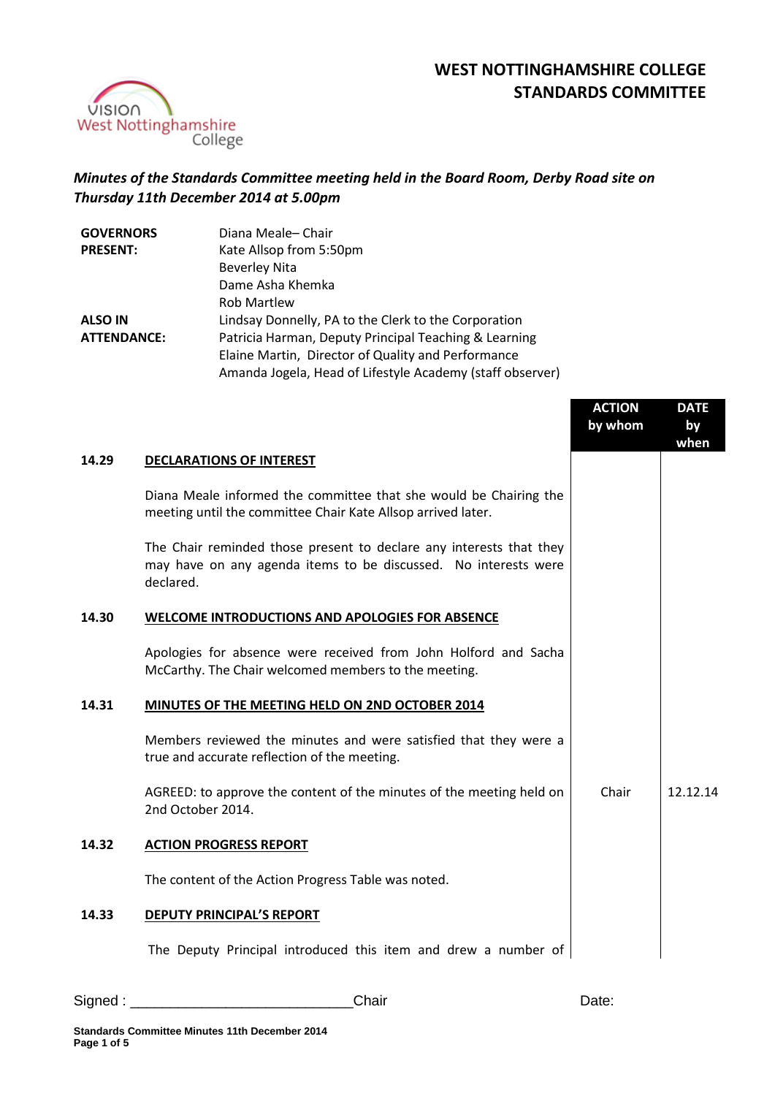

## **WEST NOTTINGHAMSHIRE COLLEGE STANDARDS COMMITTEE**

## *Minutes of the Standards Committee meeting held in the Board Room, Derby Road site on Thursday 11th December 2014 at 5.00pm*

| <b>GOVERNORS</b>   | Diana Meale-Chair                                         |
|--------------------|-----------------------------------------------------------|
| <b>PRESENT:</b>    | Kate Allsop from 5:50pm                                   |
|                    | <b>Beverley Nita</b>                                      |
|                    | Dame Asha Khemka                                          |
|                    | <b>Rob Martlew</b>                                        |
| <b>ALSO IN</b>     | Lindsay Donnelly, PA to the Clerk to the Corporation      |
| <b>ATTENDANCE:</b> | Patricia Harman, Deputy Principal Teaching & Learning     |
|                    | Elaine Martin, Director of Quality and Performance        |
|                    | Amanda Jogela, Head of Lifestyle Academy (staff observer) |

|       |                                                                                                                                                     | <b>ACTION</b><br>by whom | <b>DATE</b><br>by<br>when |
|-------|-----------------------------------------------------------------------------------------------------------------------------------------------------|--------------------------|---------------------------|
| 14.29 | <b>DECLARATIONS OF INTEREST</b>                                                                                                                     |                          |                           |
|       | Diana Meale informed the committee that she would be Chairing the<br>meeting until the committee Chair Kate Allsop arrived later.                   |                          |                           |
|       | The Chair reminded those present to declare any interests that they<br>may have on any agenda items to be discussed. No interests were<br>declared. |                          |                           |
| 14.30 | WELCOME INTRODUCTIONS AND APOLOGIES FOR ABSENCE                                                                                                     |                          |                           |
|       | Apologies for absence were received from John Holford and Sacha<br>McCarthy. The Chair welcomed members to the meeting.                             |                          |                           |
| 14.31 | MINUTES OF THE MEETING HELD ON 2ND OCTOBER 2014                                                                                                     |                          |                           |
|       | Members reviewed the minutes and were satisfied that they were a<br>true and accurate reflection of the meeting.                                    |                          |                           |
|       | AGREED: to approve the content of the minutes of the meeting held on<br>2nd October 2014.                                                           | Chair                    | 12.12.14                  |
| 14.32 | <b>ACTION PROGRESS REPORT</b>                                                                                                                       |                          |                           |
|       | The content of the Action Progress Table was noted.                                                                                                 |                          |                           |
| 14.33 | <b>DEPUTY PRINCIPAL'S REPORT</b>                                                                                                                    |                          |                           |
|       | The Deputy Principal introduced this item and drew a number of                                                                                      |                          |                           |

Signed : \_\_\_\_\_\_\_\_\_\_\_\_\_\_\_\_\_\_\_\_\_\_\_\_\_\_\_\_Chair Date: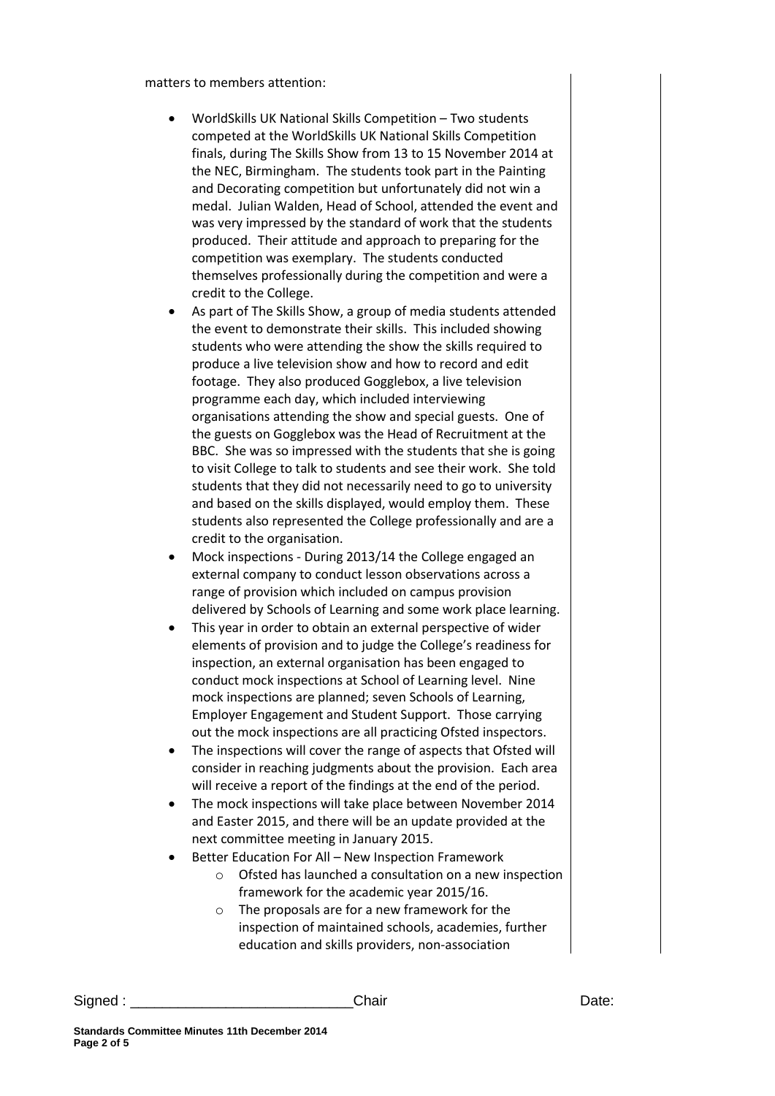matters to members attention:

- WorldSkills UK National Skills Competition Two students competed at the WorldSkills UK National Skills Competition finals, during The Skills Show from 13 to 15 November 2014 at the NEC, Birmingham. The students took part in the Painting and Decorating competition but unfortunately did not win a medal. Julian Walden, Head of School, attended the event and was very impressed by the standard of work that the students produced. Their attitude and approach to preparing for the competition was exemplary. The students conducted themselves professionally during the competition and were a credit to the College.
- As part of The Skills Show, a group of media students attended the event to demonstrate their skills. This included showing students who were attending the show the skills required to produce a live television show and how to record and edit footage. They also produced Gogglebox, a live television programme each day, which included interviewing organisations attending the show and special guests. One of the guests on Gogglebox was the Head of Recruitment at the BBC. She was so impressed with the students that she is going to visit College to talk to students and see their work. She told students that they did not necessarily need to go to university and based on the skills displayed, would employ them. These students also represented the College professionally and are a credit to the organisation.
- Mock inspections During 2013/14 the College engaged an external company to conduct lesson observations across a range of provision which included on campus provision delivered by Schools of Learning and some work place learning.
- This year in order to obtain an external perspective of wider elements of provision and to judge the College's readiness for inspection, an external organisation has been engaged to conduct mock inspections at School of Learning level. Nine mock inspections are planned; seven Schools of Learning, Employer Engagement and Student Support. Those carrying out the mock inspections are all practicing Ofsted inspectors.
- The inspections will cover the range of aspects that Ofsted will consider in reaching judgments about the provision. Each area will receive a report of the findings at the end of the period.
- The mock inspections will take place between November 2014 and Easter 2015, and there will be an update provided at the next committee meeting in January 2015.
- Better Education For All New Inspection Framework
	- o Ofsted has launched a consultation on a new inspection framework for the academic year 2015/16.
	- o The proposals are for a new framework for the inspection of maintained schools, academies, further education and skills providers, non-association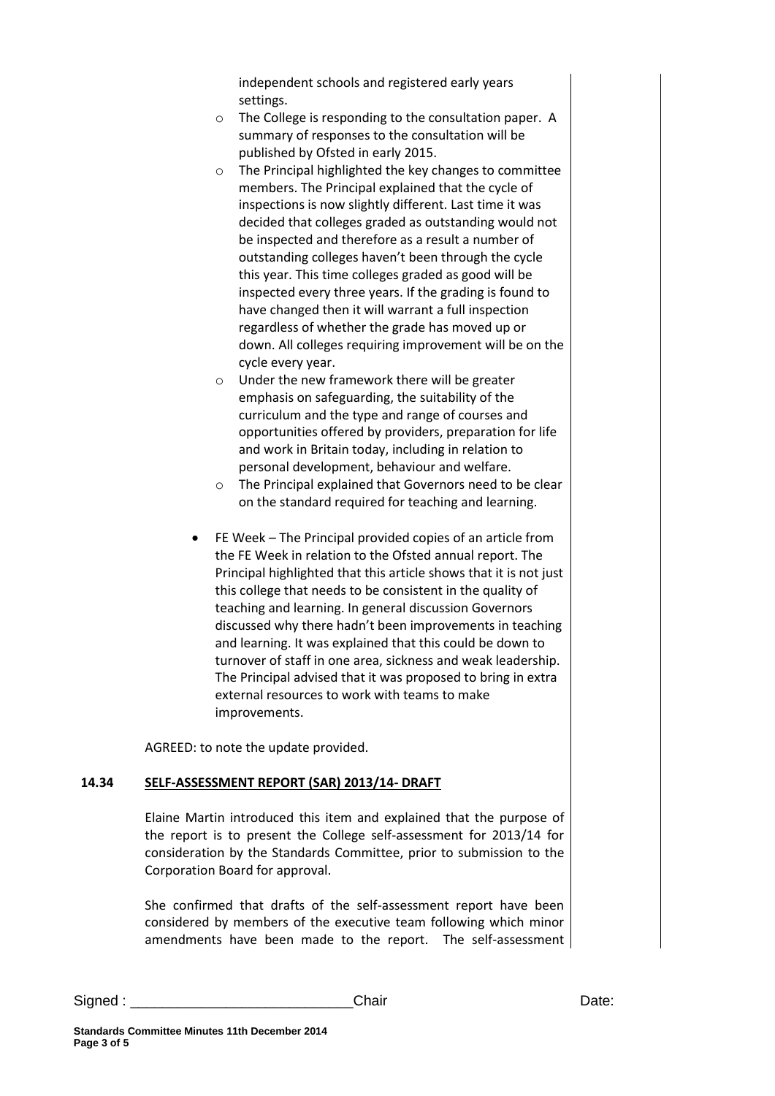independent schools and registered early years settings.

- o The College is responding to the consultation paper. A summary of responses to the consultation will be published by Ofsted in early 2015.
- o The Principal highlighted the key changes to committee members. The Principal explained that the cycle of inspections is now slightly different. Last time it was decided that colleges graded as outstanding would not be inspected and therefore as a result a number of outstanding colleges haven't been through the cycle this year. This time colleges graded as good will be inspected every three years. If the grading is found to have changed then it will warrant a full inspection regardless of whether the grade has moved up or down. All colleges requiring improvement will be on the cycle every year.
- o Under the new framework there will be greater emphasis on safeguarding, the suitability of the curriculum and the type and range of courses and opportunities offered by providers, preparation for life and work in Britain today, including in relation to personal development, behaviour and welfare.
- o The Principal explained that Governors need to be clear on the standard required for teaching and learning.
- FE Week The Principal provided copies of an article from the FE Week in relation to the Ofsted annual report. The Principal highlighted that this article shows that it is not just this college that needs to be consistent in the quality of teaching and learning. In general discussion Governors discussed why there hadn't been improvements in teaching and learning. It was explained that this could be down to turnover of staff in one area, sickness and weak leadership. The Principal advised that it was proposed to bring in extra external resources to work with teams to make improvements.

AGREED: to note the update provided.

## **14.34 SELF-ASSESSMENT REPORT (SAR) 2013/14- DRAFT**

Elaine Martin introduced this item and explained that the purpose of the report is to present the College self-assessment for 2013/14 for consideration by the Standards Committee, prior to submission to the Corporation Board for approval.

She confirmed that drafts of the self-assessment report have been considered by members of the executive team following which minor amendments have been made to the report. The self-assessment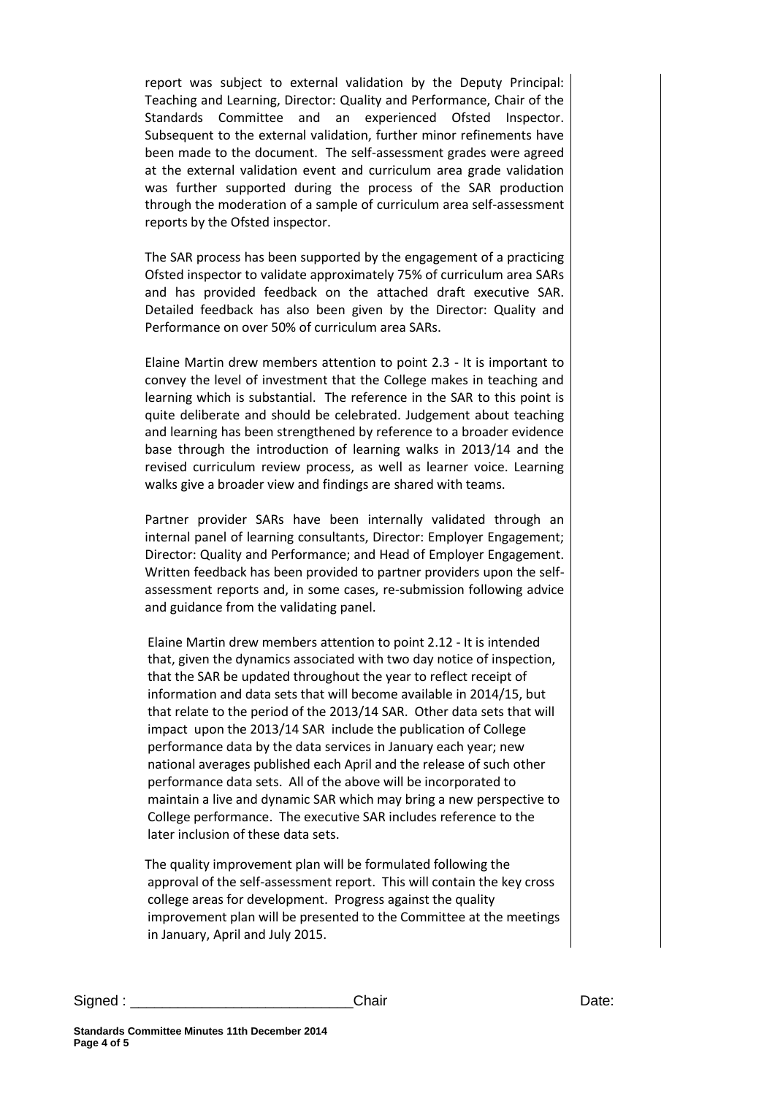report was subject to external validation by the Deputy Principal: Teaching and Learning, Director: Quality and Performance, Chair of the Standards Committee and an experienced Ofsted Inspector. Subsequent to the external validation, further minor refinements have been made to the document. The self-assessment grades were agreed at the external validation event and curriculum area grade validation was further supported during the process of the SAR production through the moderation of a sample of curriculum area self-assessment reports by the Ofsted inspector.

The SAR process has been supported by the engagement of a practicing Ofsted inspector to validate approximately 75% of curriculum area SARs and has provided feedback on the attached draft executive SAR. Detailed feedback has also been given by the Director: Quality and Performance on over 50% of curriculum area SARs.

Elaine Martin drew members attention to point 2.3 - It is important to convey the level of investment that the College makes in teaching and learning which is substantial. The reference in the SAR to this point is quite deliberate and should be celebrated. Judgement about teaching and learning has been strengthened by reference to a broader evidence base through the introduction of learning walks in 2013/14 and the revised curriculum review process, as well as learner voice. Learning walks give a broader view and findings are shared with teams.

Partner provider SARs have been internally validated through an internal panel of learning consultants, Director: Employer Engagement; Director: Quality and Performance; and Head of Employer Engagement. Written feedback has been provided to partner providers upon the selfassessment reports and, in some cases, re-submission following advice and guidance from the validating panel.

Elaine Martin drew members attention to point 2.12 - It is intended that, given the dynamics associated with two day notice of inspection, that the SAR be updated throughout the year to reflect receipt of information and data sets that will become available in 2014/15, but that relate to the period of the 2013/14 SAR. Other data sets that will impact upon the 2013/14 SAR include the publication of College performance data by the data services in January each year; new national averages published each April and the release of such other performance data sets. All of the above will be incorporated to maintain a live and dynamic SAR which may bring a new perspective to College performance. The executive SAR includes reference to the later inclusion of these data sets.

The quality improvement plan will be formulated following the approval of the self-assessment report. This will contain the key cross college areas for development. Progress against the quality improvement plan will be presented to the Committee at the meetings in January, April and July 2015.